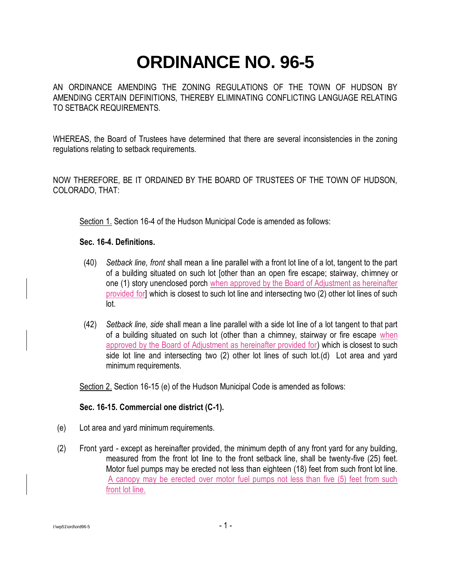## **ORDINANCE NO. 96-5**

AN ORDINANCE AMENDING THE ZONING REGULATIONS OF THE TOWN OF HUDSON BY AMENDING CERTAIN DEFINITIONS, THEREBY ELIMINATING CONFLICTING LANGUAGE RELATING TO SETBACK REQUIREMENTS.

WHEREAS, the Board of Trustees have determined that there are several inconsistencies in the zoning regulations relating to setback requirements.

NOW THEREFORE, BE IT ORDAINED BY THE BOARD OF TRUSTEES OF THE TOWN OF HUDSON, COLORADO, THAT:

Section 1. Section 16-4 of the Hudson Municipal Code is amended as follows:

## **Sec. 16-4. Definitions.**

- (40) *Setback line, front* shall mean a line parallel with a front lot line of a lot, tangent to the part of a building situated on such lot [other than an open fire escape; stairway, chimney or one (1) story unenclosed porch when approved by the Board of Adjustment as hereinafter provided for] which is closest to such lot line and intersecting two (2) other lot lines of such lot.
- (42) *Setback line, side* shall mean a line parallel with a side lot line of a lot tangent to that part of a building situated on such lot (other than a chimney, stairway or fire escape when approved by the Board of Adjustment as hereinafter provided for) which is closest to such side lot line and intersecting two (2) other lot lines of such lot.(d) Lot area and yard minimum requirements.

Section 2. Section 16-15 (e) of the Hudson Municipal Code is amended as follows:

## **Sec. 16-15. Commercial one district (C-1).**

- (e) Lot area and yard minimum requirements.
- (2) Front yard except as hereinafter provided, the minimum depth of any front yard for any building, measured from the front lot line to the front setback line, shall be twenty-five (25) feet. Motor fuel pumps may be erected not less than eighteen (18) feet from such front lot line. A canopy may be erected over motor fuel pumps not less than five (5) feet from such front lot line.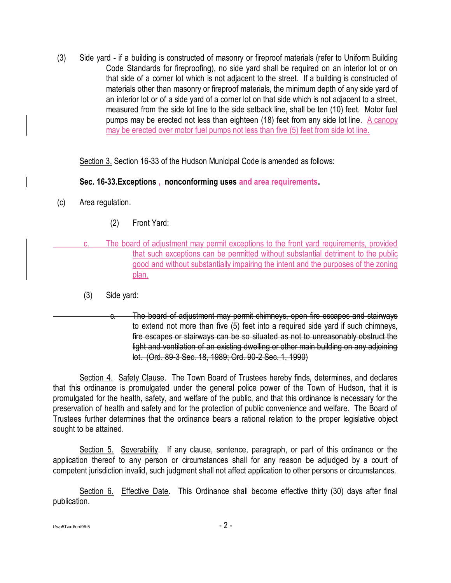(3) Side yard - if a building is constructed of masonry or fireproof materials (refer to Uniform Building Code Standards for fireproofing), no side yard shall be required on an interior lot or on that side of a corner lot which is not adjacent to the street. If a building is constructed of materials other than masonry or fireproof materials, the minimum depth of any side yard of an interior lot or of a side yard of a corner lot on that side which is not adjacent to a street, measured from the side lot line to the side setback line, shall be ten (10) feet. Motor fuel pumps may be erected not less than eighteen (18) feet from any side lot line. A canopy may be erected over motor fuel pumps not less than five (5) feet from side lot line.

Section 3. Section 16-33 of the Hudson Municipal Code is amended as follows:

## **Sec. 16-33.Exceptions , nonconforming uses and area requirements.**

- (c) Area regulation.
	- (2) Front Yard:
	- The board of adjustment may permit exceptions to the front yard requirements, provided that such exceptions can be permitted without substantial detriment to the public good and without substantially impairing the intent and the purposes of the zoning plan.
		- (3) Side yard:
- The board of adjustment may permit chimneys, open fire escapes and stairways to extend not more than five (5) feet into a required side yard if such chimneys, fire escapes or stairways can be so situated as not to unreasonably obstruct the light and ventilation of an existing dwelling or other main building on any adjoining lot. (Ord. 89-3 Sec. 18, 1989; Ord. 90-2 Sec. 1, 1990)

Section 4. Safety Clause. The Town Board of Trustees hereby finds, determines, and declares that this ordinance is promulgated under the general police power of the Town of Hudson, that it is promulgated for the health, safety, and welfare of the public, and that this ordinance is necessary for the preservation of health and safety and for the protection of public convenience and welfare. The Board of Trustees further determines that the ordinance bears a rational relation to the proper legislative object sought to be attained.

Section 5. Severability. If any clause, sentence, paragraph, or part of this ordinance or the application thereof to any person or circumstances shall for any reason be adjudged by a court of competent jurisdiction invalid, such judgment shall not affect application to other persons or circumstances.

Section 6. Effective Date. This Ordinance shall become effective thirty (30) days after final publication.

I:\wp51\ord\ord96-5 - 2 -